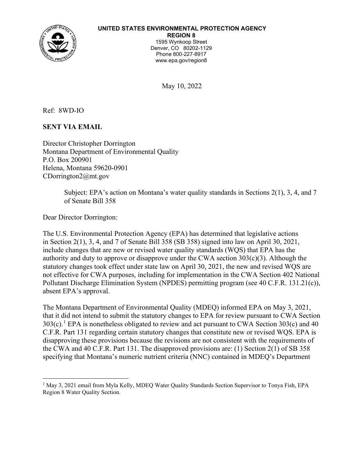

### **UNITED STATES ENVIRONMENTAL PROTECTION AGENCY**

**REGION 8** 1595 Wynkoop Street Denver, CO 80202-1129 Phone 800-227-8917 www.epa.gov/region8

May 10, 2022

Ref: 8WD-IO

**SENT VIA EMAIL**

Director Christopher Dorrington Montana Department of Environmental Quality P.O. Box 200901 Helena, Montana 59620-0901 CDorrington2@mt.gov

> Subject: EPA's action on Montana's water quality standards in Sections 2(1), 3, 4, and 7 of Senate Bill 358

Dear Director Dorrington:

The U.S. Environmental Protection Agency (EPA) has determined that legislative actions in Section 2(1), 3, 4, and 7 of Senate Bill 358 (SB 358) signed into law on April 30, 2021, include changes that are new or revised water quality standards (WQS) that EPA has the authority and duty to approve or disapprove under the CWA section  $303(c)(3)$ . Although the statutory changes took effect under state law on April 30, 2021, the new and revised WQS are not effective for CWA purposes, including for implementation in the CWA Section 402 National Pollutant Discharge Elimination System (NPDES) permitting program (see 40 C.F.R. 131.21(c)), absent EPA's approval.

The Montana Department of Environmental Quality (MDEQ) informed EPA on May 3, 2021, that it did not intend to submit the statutory changes to EPA for review pursuant to CWA Section  $303(c)$ .<sup>[1](#page-0-0)</sup> EPA is nonetheless obligated to review and act pursuant to CWA Section  $303(c)$  and  $40$ C.F.R. Part 131 regarding certain statutory changes that constitute new or revised WQS. EPA is disapproving these provisions because the revisions are not consistent with the requirements of the CWA and 40 C.F.R. Part 131. The disapproved provisions are: (1) Section 2(1) of SB 358 specifying that Montana's numeric nutrient criteria (NNC) contained in MDEQ's Department

<span id="page-0-0"></span><sup>&</sup>lt;sup>1</sup> May 3, 2021 email from Myla Kelly, MDEQ Water Quality Standards Section Supervisor to Tonya Fish, EPA Region 8 Water Quality Section.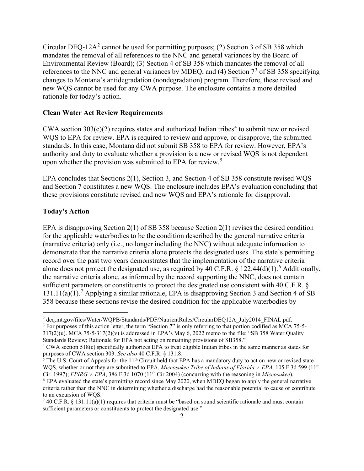Circular DEQ-1[2](#page-1-0)A<sup>2</sup> cannot be used for permitting purposes; (2) Section 3 of SB 358 which mandates the removal of all references to the NNC and general variances by the Board of Environmental Review (Board); (3) Section 4 of SB 358 which mandates the removal of all references to the NNC and general variances by MDEQ; and (4) Section  $7<sup>3</sup>$  $7<sup>3</sup>$  $7<sup>3</sup>$  of SB 358 specifying changes to Montana's antidegradation (nondegradation) program. Therefore, these revised and new WQS cannot be used for any CWA purpose. The enclosure contains a more detailed rationale for today's action.

#### **Clean Water Act Review Requirements**

CWA section  $303(c)(2)$  requires states and authorized Indian tribes<sup>[4](#page-1-2)</sup> to submit new or revised WQS to EPA for review. EPA is required to review and approve, or disapprove, the submitted standards. In this case, Montana did not submit SB 358 to EPA for review. However, EPA's authority and duty to evaluate whether a provision is a new or revised WQS is not dependent upon whether the provision was submitted to EPA for review.<sup>[5](#page-1-3)</sup>

EPA concludes that Sections 2(1), Section 3, and Section 4 of SB 358 constitute revised WQS and Section 7 constitutes a new WQS. The enclosure includes EPA's evaluation concluding that these provisions constitute revised and new WQS and EPA's rationale for disapproval.

### **Today's Action**

EPA is disapproving Section 2(1) of SB 358 because Section 2(1) revises the desired condition for the applicable waterbodies to be the condition described by the general narrative criteria (narrative criteria) only (i.e., no longer including the NNC) without adequate information to demonstrate that the narrative criteria alone protects the designated uses. The state's permitting record over the past two years demonstrates that the implementation of the narrative criteria alone does not protect the designated use, as required by 40 C.F.R.  $\S$  122.44(d)(1).<sup>[6](#page-1-4)</sup> Additionally, the narrative criteria alone, as informed by the record supporting the NNC, does not contain sufficient parameters or constituents to protect the designated use consistent with 40 C.F.R. § 131.11(a)(1).<sup>[7](#page-1-5)</sup> Applying a similar rationale, EPA is disapproving Section 3 and Section 4 of SB 358 because these sections revise the desired condition for the applicable waterbodies by

<span id="page-1-1"></span><span id="page-1-0"></span><sup>&</sup>lt;sup>2</sup> deq.mt.gov/files/Water/WQPB/Standards/PDF/NutrientRules/CircularDEQ12A\_July2014\_FINAL.pdf.  $3$  For purposes of this action letter, the term "Section 7" is only referring to that portion codified as MCA 75-5- $317(2)(u)$ . MCA 75-5-317(2)(v) is addressed in EPA's May 6, 2022 memo to the file: "SB 358 Water Quality Standards Review; Rationale for EPA not acting on remaining provisions of SB358."

<span id="page-1-2"></span><sup>&</sup>lt;sup>4</sup> CWA section 518(e) specifically authorizes EPA to treat eligible Indian tribes in the same manner as states for purposes of CWA section 303. *See also* 40 C.F.R. § 131.8.

<span id="page-1-3"></span><sup>&</sup>lt;sup>5</sup> The U.S. Court of Appeals for the  $11<sup>th</sup>$  Circuit held that EPA has a mandatory duty to act on new or revised state WQS, whether or not they are submitted to EPA. *Miccosukee Tribe of Indians of Florida v. EPA*, 105 F.3d 599 (11<sup>th</sup> Cir. 1997); *FPIRG v. EPA*, 386 F.3d 1070 (11<sup>th</sup> Cir 2004) (concurring with the reasoning in *Miccosukee* 

<span id="page-1-4"></span> $6$  EPA evaluated the state's permitting record since May 2020, when MDEQ began to apply the general narrative criteria rather than the NNC in determining whether a discharge had the reasonable potential to cause or contribute to an excursion of WQS.

<span id="page-1-5"></span><sup>&</sup>lt;sup>7</sup> 40 C.F.R. § 131.11(a)(1) requires that criteria must be "based on sound scientific rationale and must contain sufficient parameters or constituents to protect the designated use."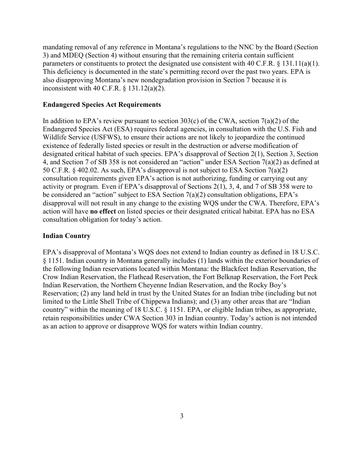mandating removal of any reference in Montana's regulations to the NNC by the Board (Section 3) and MDEQ (Section 4) without ensuring that the remaining criteria contain sufficient parameters or constituents to protect the designated use consistent with 40 C.F.R. § 131.11(a)(1). This deficiency is documented in the state's permitting record over the past two years. EPA is also disapproving Montana's new nondegradation provision in Section 7 because it is inconsistent with 40 C.F.R. § 131.12(a)(2).

### **Endangered Species Act Requirements**

In addition to EPA's review pursuant to section 303(c) of the CWA, section  $7(a)(2)$  of the Endangered Species Act (ESA) requires federal agencies, in consultation with the U.S. Fish and Wildlife Service (USFWS), to ensure their actions are not likely to jeopardize the continued existence of federally listed species or result in the destruction or adverse modification of designated critical habitat of such species. EPA's disapproval of Section 2(1), Section 3, Section 4, and Section 7 of SB 358 is not considered an "action" under ESA Section 7(a)(2) as defined at 50 C.F.R. § 402.02. As such, EPA's disapproval is not subject to ESA Section 7(a)(2) consultation requirements given EPA's action is not authorizing, funding or carrying out any activity or program. Even if EPA's disapproval of Sections 2(1), 3, 4, and 7 of SB 358 were to be considered an "action" subject to ESA Section 7(a)(2) consultation obligations, EPA's disapproval will not result in any change to the existing WQS under the CWA. Therefore, EPA's action will have **no effect** on listed species or their designated critical habitat. EPA has no ESA consultation obligation for today's action.

#### **Indian Country**

EPA's disapproval of Montana's WQS does not extend to Indian country as defined in 18 U.S.C. § 1151. Indian country in Montana generally includes (1) lands within the exterior boundaries of the following Indian reservations located within Montana: the Blackfeet Indian Reservation, the Crow Indian Reservation, the Flathead Reservation, the Fort Belknap Reservation, the Fort Peck Indian Reservation, the Northern Cheyenne Indian Reservation, and the Rocky Boy's Reservation; (2) any land held in trust by the United States for an Indian tribe (including but not limited to the Little Shell Tribe of Chippewa Indians); and (3) any other areas that are "Indian country" within the meaning of 18 U.S.C. § 1151. EPA, or eligible Indian tribes, as appropriate, retain responsibilities under CWA Section 303 in Indian country. Today's action is not intended as an action to approve or disapprove WQS for waters within Indian country.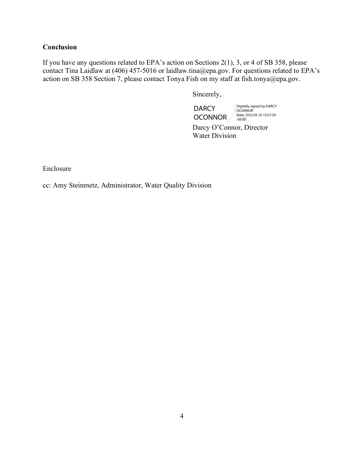# **Conclusion**

If you have any questions related to EPA's action on Sections 2(1), 3, or 4 of SB 358, please contact Tina Laidlaw at (406) 457-5016 or laidlaw.tina@epa.gov. For questions related to EPA's action on SB 358 Section 7, please contact Tonya Fish on my staff at fish.tonya@epa.gov.

Sincerely,

**DARCY** OCONNOR Digitally signed by DARCY OCONNOR Date: 2022.05.10 13:57:39 -06'00'

Darcy O'Connor, Director Water Division

Enclosure

cc: Amy Steinmetz, Administrator, Water Quality Division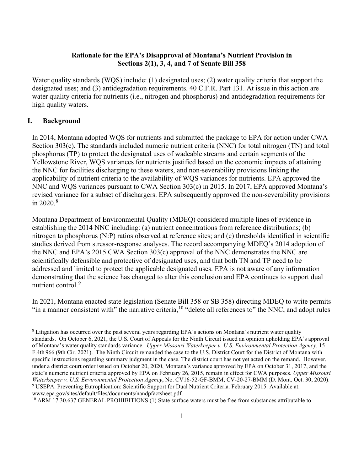## **Rationale for the EPA's Disapproval of Montana's Nutrient Provision in Sections 2(1), 3, 4, and 7 of Senate Bill 358**

Water quality standards (WQS) include: (1) designated uses; (2) water quality criteria that support the designated uses; and (3) antidegradation requirements. 40 C.F.R. Part 131. At issue in this action are water quality criteria for nutrients (i.e., nitrogen and phosphorus) and antidegradation requirements for high quality waters.

### **I. Background**

In 2014, Montana adopted WQS for nutrients and submitted the package to EPA for action under CWA Section 303(c). The standards included numeric nutrient criteria (NNC) for total nitrogen (TN) and total phosphorus (TP) to protect the designated uses of wadeable streams and certain segments of the Yellowstone River, WQS variances for nutrients justified based on the economic impacts of attaining the NNC for facilities discharging to these waters, and non-severability provisions linking the applicability of nutrient criteria to the availability of WQS variances for nutrients. EPA approved the NNC and WQS variances pursuant to CWA Section 303(c) in 2015. In 2017, EPA approved Montana's revised variance for a subset of dischargers. EPA subsequently approved the non-severability provisions in  $2020.8$  $2020.8$ 

Montana Department of Environmental Quality (MDEQ) considered multiple lines of evidence in establishing the 2014 NNC including: (a) nutrient concentrations from reference distributions; (b) nitrogen to phosphorus (N:P) ratios observed at reference sites; and (c) thresholds identified in scientific studies derived from stressor-response analyses. The record accompanying MDEQ's 2014 adoption of the NNC and EPA's 2015 CWA Section 303(c) approval of the NNC demonstrates the NNC are scientifically defensible and protective of designated uses, and that both TN and TP need to be addressed and limited to protect the applicable designated uses. EPA is not aware of any information demonstrating that the science has changed to alter this conclusion and EPA continues to support dual nutrient control.<sup>[9](#page-4-1)</sup>

In 2021, Montana enacted state legislation (Senate Bill 358 or SB 358) directing MDEQ to write permits "in a manner consistent with" the narrative criteria,  $10$  "delete all references to" the NNC, and adopt rules

<span id="page-4-0"></span><sup>&</sup>lt;sup>8</sup> Litigation has occurred over the past several years regarding EPA's actions on Montana's nutrient water quality standards. On October 6, 2021, the U.S. Court of Appeals for the Ninth Circuit issued an opinion upholding EPA's approval of Montana's water quality standards variance. *Upper Missouri Waterkeeper v. U.S. Environmental Protection Agency*, 15 F.4th 966 (9th Cir. 2021). The Ninth Circuit remanded the case to the U.S. District Court for the District of Montana with specific instructions regarding summary judgment in the case. The district court has not yet acted on the remand. However, under a district court order issued on October 20, 2020, Montana's variance approved by EPA on October 31, 2017, and the state's numeric nutrient criteria approved by EPA on February 26, 2015, remain in effect for CWA purposes. *Upper Missouri Waterkeeper v. U.S. Environmental Protection Agency*, No. CV16-52-GF-BMM, CV-20-27-BMM (D. Mont. Oct. 30, 2020). <sup>9</sup> USEPA. Preventing Eutrophication: Scientific Support for Dual Nutrient Criteria. February 2015. Available at: www.epa.gov/sites/default/files/documents/nandpfactsheet.pdf.

<span id="page-4-2"></span><span id="page-4-1"></span><sup>&</sup>lt;sup>10</sup> ARM 17.30.637 GENERAL PROHIBITIONS (1) State surface waters must be free from substances attributable to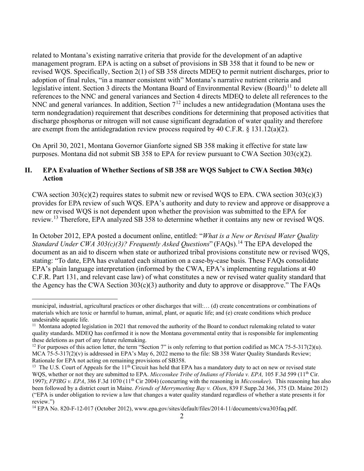related to Montana's existing narrative criteria that provide for the development of an adaptive management program. EPA is acting on a subset of provisions in SB 358 that it found to be new or revised WQS. Specifically, Section 2(1) of SB 358 directs MDEQ to permit nutrient discharges, prior to adoption of final rules, "in a manner consistent with" Montana's narrative nutrient criteria and legislative intent. Section 3 directs the Montana Board of Environmental Review (Board)<sup>[11](#page-5-0)</sup> to delete all references to the NNC and general variances and Section 4 directs MDEQ to delete all references to the NNC and general variances. In addition, Section  $7^{12}$  $7^{12}$  $7^{12}$  includes a new antidegradation (Montana uses the term nondegradation) requirement that describes conditions for determining that proposed activities that discharge phosphorus or nitrogen will not cause significant degradation of water quality and therefore are exempt from the antidegradation review process required by 40 C.F.R.  $\S$  131.12(a)(2).

On April 30, 2021, Montana Governor Gianforte signed SB 358 making it effective for state law purposes. Montana did not submit SB 358 to EPA for review pursuant to CWA Section 303(c)(2).

## **II. EPA Evaluation of Whether Sections of SB 358 are WQS Subject to CWA Section 303(c) Action**

CWA section  $303(c)(2)$  requires states to submit new or revised WQS to EPA. CWA section  $303(c)(3)$ provides for EPA review of such WQS. EPA's authority and duty to review and approve or disapprove a new or revised WQS is not dependent upon whether the provision was submitted to the EPA for review.<sup>[13](#page-5-2)</sup> Therefore, EPA analyzed SB 358 to determine whether it contains any new or revised WQS.

In October 2012, EPA posted a document online, entitled: "*What is a New or Revised Water Quality Standard Under CWA 303(c)(3)? Frequently Asked Questions*" (FAQs).<sup>[14](#page-5-3)</sup> The EPA developed the document as an aid to discern when state or authorized tribal provisions constitute new or revised WQS, stating: "To date, EPA has evaluated each situation on a case-by-case basis. These FAQs consolidate EPA's plain language interpretation (informed by the CWA, EPA's implementing regulations at 40 C.F.R. Part 131, and relevant case law) of what constitutes a new or revised water quality standard that the Agency has the CWA Section  $303(c)(3)$  authority and duty to approve or disapprove." The FAQs

municipal, industrial, agricultural practices or other discharges that will:… (d) create concentrations or combinations of materials which are toxic or harmful to human, animal, plant, or aquatic life; and (e) create conditions which produce undesirable aquatic life.<br><sup>11</sup> Montana adopted legislation in 2021 that removed the authority of the Board to conduct rulemaking related to water

<span id="page-5-0"></span>quality standards. MDEQ has confirmed it is now the Montana governmental entity that is responsible for implementing these deletions as part of any future rulemaking.

<span id="page-5-1"></span><sup>&</sup>lt;sup>12</sup> For purposes of this action letter, the term "Section 7" is only referring to that portion codified as MCA 75-5-317(2)(u). MCA 75-5-317(2)(v) is addressed in EPA's May 6, 2022 memo to the file: SB 358 Water Quality Standards Review; Rationale for EPA not acting on remaining provisions of SB358.

<span id="page-5-2"></span><sup>&</sup>lt;sup>13</sup> The U.S. Court of Appeals for the  $11<sup>th</sup>$  Circuit has held that EPA has a mandatory duty to act on new or revised state WQS, whether or not they are submitted to EPA. *Miccosukee Tribe of Indians of Florida v. EPA*, 105 F.3d 599 (11<sup>th</sup> Cir. 1997); *FPIRG v. EPA*, 386 F.3d 1070 (11th Cir 2004) (concurring with the reasoning in *Miccosukee*). This reasoning has also been followed by a district court in Maine. *Friends of Merrymeeting Bay v. Olsen*, 839 F.Supp.2d 366, 375 (D. Maine 2012) ("EPA is under obligation to review a law that changes a water quality standard regardless of whether a state presents it for review.")

<span id="page-5-3"></span><sup>14</sup> EPA No. 820-F-12-017 (October 2012), www.epa.gov/sites/default/files/2014-11/documents/cwa303faq.pdf.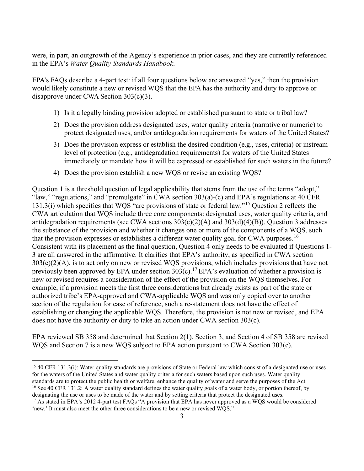were, in part, an outgrowth of the Agency's experience in prior cases, and they are currently referenced in the EPA's *Water Quality Standards Handbook*.

EPA's FAQs describe a 4-part test: if all four questions below are answered "yes," then the provision would likely constitute a new or revised WQS that the EPA has the authority and duty to approve or disapprove under CWA Section 303(c)(3).

- 1) Is it a legally binding provision adopted or established pursuant to state or tribal law?
- 2) Does the provision address designated uses, water quality criteria (narrative or numeric) to protect designated uses, and/or antidegradation requirements for waters of the United States?
- 3) Does the provision express or establish the desired condition (e.g., uses, criteria) or instream level of protection (e.g., antidegradation requirements) for waters of the United States immediately or mandate how it will be expressed or established for such waters in the future?
- 4) Does the provision establish a new WQS or revise an existing WQS?

Question 1 is a threshold question of legal applicability that stems from the use of the terms "adopt," "law," "regulations," and "promulgate" in CWA section  $303(a)$ -(c) and EPA's regulations at 40 CFR 131.3(i) which specifies that WQS "are provisions of state or federal law."[15](#page-6-0) Question 2 reflects the CWA articulation that WQS include three core components: designated uses, water quality criteria, and antidegradation requirements (see CWA sections  $303(c)(2)(A)$  and  $303(d)(4)(B)$ ). Question 3 addresses the substance of the provision and whether it changes one or more of the components of a WQS, such that the provision expresses or establishes a different water quality goal for CWA purposes.<sup>[16](#page-6-1)</sup> Consistent with its placement as the final question, Question 4 only needs to be evaluated if Questions 1- 3 are all answered in the affirmative. It clarifies that EPA's authority, as specified in CWA section  $303(c)(2)(A)$ , is to act only on new or revised WQS provisions, which includes provisions that have not previously been approved by EPA under section  $303(c)$ .<sup>[17](#page-6-2)</sup> EPA's evaluation of whether a provision is new or revised requires a consideration of the effect of the provision on the WQS themselves. For example, if a provision meets the first three considerations but already exists as part of the state or authorized tribe's EPA-approved and CWA-applicable WQS and was only copied over to another section of the regulation for ease of reference, such a re-statement does not have the effect of establishing or changing the applicable WQS. Therefore, the provision is not new or revised, and EPA does not have the authority or duty to take an action under CWA section 303(c).

EPA reviewed SB 358 and determined that Section 2(1), Section 3, and Section 4 of SB 358 are revised WQS and Section 7 is a new WQS subject to EPA action pursuant to CWA Section 303(c).

<span id="page-6-0"></span><sup>&</sup>lt;sup>15</sup> 40 CFR 131.3(i): Water quality standards are provisions of [State](https://www.law.cornell.edu/definitions/index.php?width=840&height=800&iframe=true&def_id=02f3388cbddab8d1c8b68bc12f7066f2&term_occur=999&term_src=Title:40:Chapter:I:Subchapter:D:Part:131:Subpart:A:131.3) or Federal law which consist of a designated use or uses for the waters of the [United States](https://www.law.cornell.edu/definitions/index.php?width=840&height=800&iframe=true&def_id=dda4c2aefd0bd07e80aa2c88417ccf16&term_occur=999&term_src=Title:40:Chapter:I:Subchapter:D:Part:131:Subpart:A:131.3) and water quality [criteria](https://www.law.cornell.edu/definitions/index.php?width=840&height=800&iframe=true&def_id=d75ccced16cae306d8c5e9e07cf581ce&term_occur=999&term_src=Title:40:Chapter:I:Subchapter:D:Part:131:Subpart:A:131.3) for such waters based upon such uses. [Water quality](https://www.law.cornell.edu/definitions/index.php?width=840&height=800&iframe=true&def_id=ae2ebcdde021e189e65733b4d02aa0e9&term_occur=999&term_src=Title:40:Chapter:I:Subchapter:D:Part:131:Subpart:A:131.3)  standards are to protect the public health or welfare, enhance the quality of water and serve the purposes of [the Act.](https://www.law.cornell.edu/definitions/index.php?width=840&height=800&iframe=true&def_id=aaea981d193abe7105f53983a278a1e1&term_occur=999&term_src=Title:40:Chapter:I:Subchapter:D:Part:131:Subpart:A:131.3)<br><sup>16</sup> See 40 CFR 131.2: A water quality standard defines the water quality goals of a water body, or por

<span id="page-6-1"></span>designating the use or uses to be made of the water and by setting criteria that protect the designated uses.

<span id="page-6-2"></span><sup>&</sup>lt;sup>17</sup> As stated in EPA's 2012 4-part test FAQs "A provision that EPA has never approved as a WQS would be considered 'new.' It must also meet the other three considerations to be a new or revised WQS."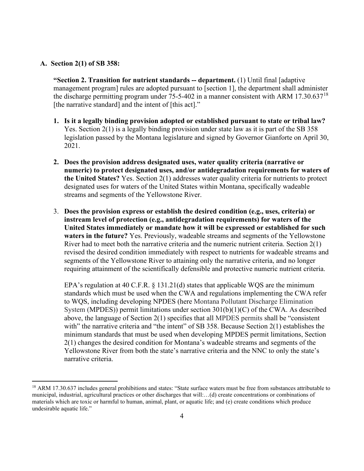### **A. Section 2(1) of SB 358:**

**"Section 2. Transition for nutrient standards -- department.** (1) Until final [adaptive management program] rules are adopted pursuant to [section 1], the department shall administer the discharge permitting program under 75-5-402 in a manner consistent with ARM 17.30.637<sup>[18](#page-7-0)</sup> [the narrative standard] and the intent of [this act]."

- **1. Is it a legally binding provision adopted or established pursuant to state or tribal law?** Yes. Section 2(1) is a legally binding provision under state law as it is part of the SB 358 legislation passed by the Montana legislature and signed by Governor Gianforte on April 30, 2021.
- **2. Does the provision address designated uses, water quality criteria (narrative or numeric) to protect designated uses, and/or antidegradation requirements for waters of the United States?** Yes. Section 2(1) addresses water quality criteria for nutrients to protect designated uses for waters of the United States within Montana, specifically wadeable streams and segments of the Yellowstone River.
- 3. **Does the provision express or establish the desired condition (e.g., uses, criteria) or instream level of protection (e.g., antidegradation requirements) for waters of the United States immediately or mandate how it will be expressed or established for such waters in the future?** Yes. Previously, wadeable streams and segments of the Yellowstone River had to meet both the narrative criteria and the numeric nutrient criteria. Section 2(1) revised the desired condition immediately with respect to nutrients for wadeable streams and segments of the Yellowstone River to attaining only the narrative criteria, and no longer requiring attainment of the scientifically defensible and protective numeric nutrient criteria.

EPA's regulation at 40 C.F.R. § 131.21(d) states that applicable WQS are the minimum standards which must be used when the CWA and regulations implementing the CWA refer to WQS, including developing NPDES (here Montana Pollutant Discharge Elimination System (MPDES)) permit limitations under section  $301(b)(1)(C)$  of the CWA. As described above, the language of Section 2(1) specifies that all MPDES permits shall be "consistent with" the narrative criteria and "the intent" of SB 358. Because Section 2(1) establishes the minimum standards that must be used when developing MPDES permit limitations, Section 2(1) changes the desired condition for Montana's wadeable streams and segments of the Yellowstone River from both the state's narrative criteria and the NNC to only the state's narrative criteria.

<span id="page-7-0"></span><sup>&</sup>lt;sup>18</sup> ARM 17.30.637 includes general prohibitions and states: "State surface waters must be free from substances attributable to municipal, industrial, agricultural practices or other discharges that will:…(d) create concentrations or combinations of materials which are toxic or harmful to human, animal, plant, or aquatic life; and (e) create conditions which produce undesirable aquatic life."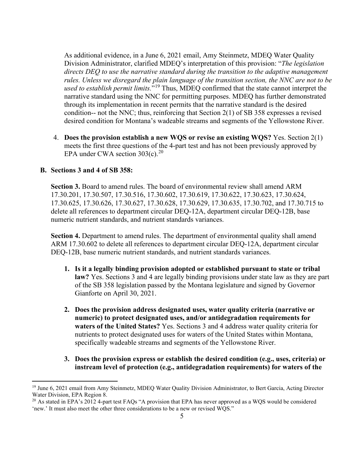As additional evidence, in a June 6, 2021 email, Amy Steinmetz, MDEQ Water Quality Division Administrator, clarified MDEQ's interpretation of this provision: "*The legislation directs DEQ to use the narrative standard during the transition to the adaptive management rules. Unless we disregard the plain language of the transition section, the NNC are not to be used to establish permit limits.*"[19](#page-8-0) Thus, MDEQ confirmed that the state cannot interpret the narrative standard using the NNC for permitting purposes. MDEQ has further demonstrated through its implementation in recent permits that the narrative standard is the desired condition-- not the NNC; thus, reinforcing that Section 2(1) of SB 358 expresses a revised desired condition for Montana's wadeable streams and segments of the Yellowstone River.

4. **Does the provision establish a new WQS or revise an existing WQS?** Yes. Section 2(1) meets the first three questions of the 4-part test and has not been previously approved by EPA under CWA section 303(c).<sup>[20](#page-8-1)</sup>

## **B. Sections 3 and 4 of SB 358:**

**Section 3.** Board to amend rules. The board of environmental review shall amend ARM 17.30.201, 17.30.507, 17.30.516, 17.30.602, 17.30.619, 17.30.622, 17.30.623, 17.30.624, 17.30.625, 17.30.626, 17.30.627, 17.30.628, 17.30.629, 17.30.635, 17.30.702, and 17.30.715 to delete all references to department circular DEQ-12A, department circular DEQ-12B, base numeric nutrient standards, and nutrient standards variances.

**Section 4.** Department to amend rules. The department of environmental quality shall amend ARM 17.30.602 to delete all references to department circular DEQ-12A, department circular DEQ-12B, base numeric nutrient standards, and nutrient standards variances.

- **1. Is it a legally binding provision adopted or established pursuant to state or tribal law?** Yes. Sections 3 and 4 are legally binding provisions under state law as they are part of the SB 358 legislation passed by the Montana legislature and signed by Governor Gianforte on April 30, 2021.
- **2. Does the provision address designated uses, water quality criteria (narrative or numeric) to protect designated uses, and/or antidegradation requirements for waters of the United States?** Yes. Sections 3 and 4 address water quality criteria for nutrients to protect designated uses for waters of the United States within Montana, specifically wadeable streams and segments of the Yellowstone River.
- **3. Does the provision express or establish the desired condition (e.g., uses, criteria) or instream level of protection (e.g., antidegradation requirements) for waters of the**

<span id="page-8-0"></span><sup>&</sup>lt;sup>19</sup> June 6, 2021 email from Amy Steinmetz, MDEO Water Quality Division Administrator, to Bert Garcia, Acting Director Water Division, EPA Region 8.

<span id="page-8-1"></span><sup>&</sup>lt;sup>20</sup> As stated in EPA's 2012 4-part test FAQs "A provision that EPA has never approved as a WQS would be considered 'new.' It must also meet the other three considerations to be a new or revised WQS."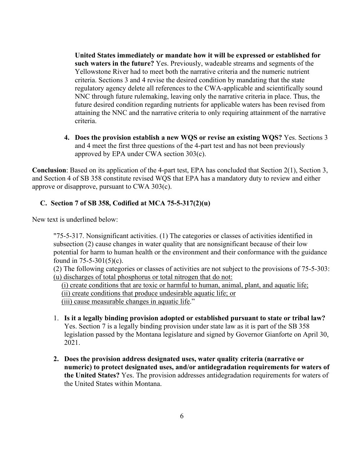**United States immediately or mandate how it will be expressed or established for such waters in the future?** Yes. Previously, wadeable streams and segments of the Yellowstone River had to meet both the narrative criteria and the numeric nutrient criteria. Sections 3 and 4 revise the desired condition by mandating that the state regulatory agency delete all references to the CWA-applicable and scientifically sound NNC through future rulemaking, leaving only the narrative criteria in place. Thus, the future desired condition regarding nutrients for applicable waters has been revised from attaining the NNC and the narrative criteria to only requiring attainment of the narrative criteria.

**4. Does the provision establish a new WQS or revise an existing WQS?** Yes. Sections 3 and 4 meet the first three questions of the 4-part test and has not been previously approved by EPA under CWA section 303(c).

**Conclusion**: Based on its application of the 4-part test, EPA has concluded that Section 2(1), Section 3, and Section 4 of SB 358 constitute revised WQS that EPA has a mandatory duty to review and either approve or disapprove, pursuant to CWA 303(c).

## **C. Section 7 of SB 358, Codified at MCA 75-5-317(2)(u)**

New text is underlined below:

"75-5-317. Nonsignificant activities. (1) The categories or classes of activities identified in subsection (2) cause changes in water quality that are nonsignificant because of their low potential for harm to human health or the environment and their conformance with the guidance found in 75-5-301(5)(c).

(2) The following categories or classes of activities are not subject to the provisions of 75-5-303: (u) discharges of total phosphorus or total nitrogen that do not:

(i) create conditions that are toxic or harmful to human, animal, plant, and aquatic life;

(ii) create conditions that produce undesirable aquatic life; or

(iii) cause measurable changes in aquatic life."

- 1. **Is it a legally binding provision adopted or established pursuant to state or tribal law?**  Yes. Section 7 is a legally binding provision under state law as it is part of the SB 358 legislation passed by the Montana legislature and signed by Governor Gianforte on April 30, 2021.
- **2. Does the provision address designated uses, water quality criteria (narrative or numeric) to protect designated uses, and/or antidegradation requirements for waters of the United States?** Yes. The provision addresses antidegradation requirements for waters of the United States within Montana.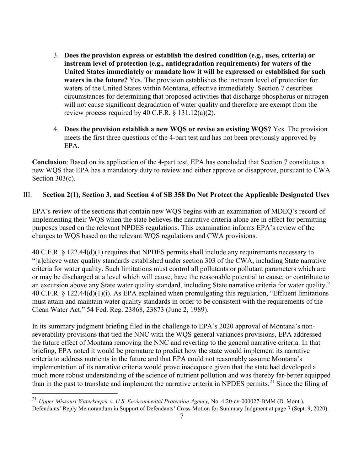- 3. **Does the provision express or establish the desired condition (e.g., uses, criteria) or instream level of protection (e.g., antidegradation requirements) for waters of the United States immediately or mandate how it will be expressed or established for such waters in the future?** Yes. The provision establishes the instream level of protection for waters of the United States within Montana, effective immediately. Section 7 describes circumstances for determining that proposed activities that discharge phosphorus or nitrogen will not cause significant degradation of water quality and therefore are exempt from the review process required by 40 C.F.R.  $\S$  131.12(a)(2).
- 4. **Does the provision establish a new WQS or revise an existing WQS?** Yes. The provision meets the first three questions of the 4-part test and has not been previously approved by EPA.

**Conclusion**: Based on its application of the 4-part test, EPA has concluded that Section 7 constitutes a new WQS that EPA has a mandatory duty to review and either approve or disapprove, pursuant to CWA Section 303(c).

## III. **Section 2(1), Section 3, and Section 4 of SB 358 Do Not Protect the Applicable Designated Uses**

EPA's review of the sections that contain new WQS begins with an examination of MDEQ's record of implementing their WQS when the state believes the narrative criteria alone are in effect for permitting purposes based on the relevant NPDES regulations. This examination informs EPA's review of the changes to WQS based on the relevant WQS regulations and CWA provisions.

40 C.F.R. § 122.44(d)(1) requires that NPDES permits shall include any requirements necessary to "[a]chieve water quality standards established under section 303 of the CWA, including State narrative criteria for water quality. Such limitations must control all pollutants or pollutant parameters which are or may be discharged at a level which will cause, have the reasonable potential to cause, or contribute to an excursion above any State water quality standard, including State narrative criteria for water quality." 40 C.F.R. § 122.44(d)(1)(i). As EPA explained when promulgating this regulation, "Effluent limitations must attain and maintain water quality standards in order to be consistent with the requirements of the Clean Water Act." 54 Fed. Reg. 23868, 23873 (June 2, 1989).

In its summary judgment briefing filed in the challenge to EPA's 2020 approval of Montana's nonseverability provisions that tied the NNC with the WQS general variances provisions, EPA addressed the future effect of Montana removing the NNC and reverting to the general narrative criteria. In that briefing, EPA noted it would be premature to predict how the state would implement its narrative criteria to address nutrients in the future and that EPA could not reasonably assume Montana's implementation of its narrative criteria would prove inadequate given that the state had developed a much more robust understanding of the science of nutrient pollution and was thereby far-better equipped than in the past to translate and implement the narrative criteria in NPDES permits.<sup>21</sup> Since the filing of

<span id="page-10-0"></span><sup>21</sup> *Upper Missouri Waterkeeper v. U.S. Environmental Protection Agency,* No. 4:20-cv-000027-BMM (D. Mont.), Defendants' Reply Memorandum in Support of Defendants' Cross-Motion for Summary Judgment at page 7 (Sept. 9, 2020).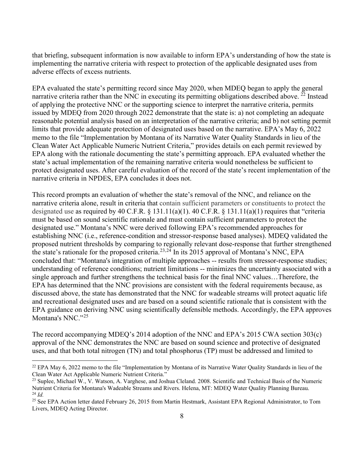that briefing, subsequent information is now available to inform EPA's understanding of how the state is implementing the narrative criteria with respect to protection of the applicable designated uses from adverse effects of excess nutrients.

EPA evaluated the state's permitting record since May 2020, when MDEQ began to apply the general narrative criteria rather than the NNC in executing its permitting obligations described above.  $^{22}$  $^{22}$  $^{22}$  Instead of applying the protective NNC or the supporting science to interpret the narrative criteria, permits issued by MDEQ from 2020 through 2022 demonstrate that the state is: a) not completing an adequate reasonable potential analysis based on an interpretation of the narrative criteria; and b) not setting permit limits that provide adequate protection of designated uses based on the narrative. EPA's May 6, 2022 memo to the file "Implementation by Montana of its Narrative Water Quality Standards in lieu of the Clean Water Act Applicable Numeric Nutrient Criteria," provides details on each permit reviewed by EPA along with the rationale documenting the state's permitting approach. EPA evaluated whether the state's actual implementation of the remaining narrative criteria would nonetheless be sufficient to protect designated uses. After careful evaluation of the record of the state's recent implementation of the narrative criteria in NPDES, EPA concludes it does not.

This record prompts an evaluation of whether the state's removal of the NNC, and reliance on the narrative criteria alone, result in criteria that contain sufficient parameters or constituents to protect the designated use as required by 40 C.F.R.  $\S$  131.11(a)(1). 40 C.F.R.  $\S$  131.11(a)(1) requires that "criteria must be based on sound scientific rationale and must contain sufficient parameters to protect the designated use." Montana's NNC were derived following EPA's recommended approaches for establishing NNC (i.e., reference-condition and stressor-response based analyses). MDEQ validated the proposed nutrient thresholds by comparing to regionally relevant dose-response that further strengthened the state's rationale for the proposed criteria.<sup>[23,](#page-11-1)[24](#page-11-2)</sup> In its 2015 approval of Montana's NNC, EPA concluded that: "Montana's integration of multiple approaches -- results from stressor-response studies; understanding of reference conditions; nutrient limitations -- minimizes the uncertainty associated with a single approach and further strengthens the technical basis for the final NNC values…Therefore, the EPA has determined that the NNC provisions are consistent with the federal requirements because, as discussed above, the state has demonstrated that the NNC for wadeable streams will protect aquatic life and recreational designated uses and are based on a sound scientific rationale that is consistent with the EPA guidance on deriving NNC using scientifically defensible methods. Accordingly, the EPA approves Montana's NNC."25

The record accompanying MDEQ's 2014 adoption of the NNC and EPA's 2015 CWA section 303(c) approval of the NNC demonstrates the NNC are based on sound science and protective of designated uses, and that both total nitrogen (TN) and total phosphorus (TP) must be addressed and limited to

<span id="page-11-0"></span><sup>&</sup>lt;sup>22</sup> EPA May 6, 2022 memo to the file "Implementation by Montana of its Narrative Water Quality Standards in lieu of the Clean Water Act Applicable Numeric Nutrient Criteria."

<span id="page-11-1"></span><sup>&</sup>lt;sup>23</sup> Suplee, Michael W., V. Watson, A. Varghese, and Joshua Cleland. 2008. Scientific and Technical Basis of the Numeric Nutrient Criteria for Montana's Wadeable Streams and Rivers. Helena, MT: MDEQ Water Quality Planning Bureau.<br><sup>24</sup> Id

<span id="page-11-3"></span><span id="page-11-2"></span><sup>&</sup>lt;sup>25</sup> See EPA Action letter dated February 26, 2015 from Martin Hestmark, Assistant EPA Regional Administrator, to Tom Livers, MDEQ Acting Director.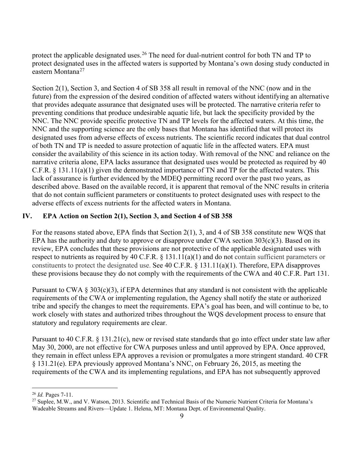protect the applicable designated uses.<sup>26</sup> The need for dual-nutrient control for both TN and TP to protect designated uses in the affected waters is supported by Montana's own dosing study conducted in eastern Montana<sup>[27](#page-12-1)</sup>

Section 2(1), Section 3, and Section 4 of SB 358 all result in removal of the NNC (now and in the future) from the expression of the desired condition of affected waters without identifying an alternative that provides adequate assurance that designated uses will be protected. The narrative criteria refer to preventing conditions that produce undesirable aquatic life, but lack the specificity provided by the NNC. The NNC provide specific protective TN and TP levels for the affected waters. At this time, the NNC and the supporting science are the only bases that Montana has identified that will protect its designated uses from adverse effects of excess nutrients. The scientific record indicates that dual control of both TN and TP is needed to assure protection of aquatic life in the affected waters. EPA must consider the availability of this science in its action today. With removal of the NNC and reliance on the narrative criteria alone, EPA lacks assurance that designated uses would be protected as required by 40 C.F.R. § 131.11(a)(1) given the demonstrated importance of TN and TP for the affected waters. This lack of assurance is further evidenced by the MDEQ permitting record over the past two years, as described above. Based on the available record, it is apparent that removal of the NNC results in criteria that do not contain sufficient parameters or constituents to protect designated uses with respect to the adverse effects of excess nutrients for the affected waters in Montana.

## **IV. EPA Action on Section 2(1), Section 3, and Section 4 of SB 358**

For the reasons stated above, EPA finds that Section 2(1), 3, and 4 of SB 358 constitute new WQS that EPA has the authority and duty to approve or disapprove under CWA section  $303(c)(3)$ . Based on its review, EPA concludes that these provisions are not protective of the applicable designated uses with respect to nutrients as required by 40 C.F.R. § 131.11(a)(1) and do not contain sufficient parameters or constituents to protect the designated use. See 40 C.F.R. § 131.11(a)(1). Therefore, EPA disapproves these provisions because they do not comply with the requirements of the CWA and 40 C.F.R. Part 131.

Pursuant to CWA  $\S 303(c)(3)$ , if EPA determines that any standard is not consistent with the applicable requirements of the CWA or implementing regulation, the Agency shall notify the state or authorized tribe and specify the changes to meet the requirements. EPA's goal has been, and will continue to be, to work closely with states and authorized tribes throughout the WQS development process to ensure that statutory and regulatory requirements are clear.

Pursuant to 40 C.F.R. § 131.21(c), new or revised state standards that go into effect under state law after May 30, 2000, are not effective for CWA purposes unless and until approved by EPA. Once approved, they remain in effect unless EPA approves a revision or promulgates a more stringent standard. 40 CFR § 131.21(e). EPA previously approved Montana's NNC, on February 26, 2015, as meeting the requirements of the CWA and its implementing regulations, and EPA has not subsequently approved

<span id="page-12-0"></span><sup>26</sup> *Id.* Pages 7-11.

<span id="page-12-1"></span><sup>&</sup>lt;sup>27</sup> Suplee, M.W., and V. Watson, 2013. Scientific and Technical Basis of the Numeric Nutrient Criteria for Montana's Wadeable Streams and Rivers—Update 1. Helena, MT: Montana Dept. of Environmental Quality.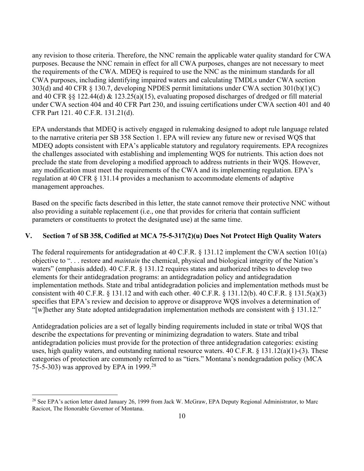any revision to those criteria. Therefore, the NNC remain the applicable water quality standard for CWA purposes. Because the NNC remain in effect for all CWA purposes, changes are not necessary to meet the requirements of the CWA. MDEQ is required to use the NNC as the minimum standards for all CWA purposes, including identifying impaired waters and calculating TMDLs under CWA section 303(d) and 40 CFR § 130.7, developing NPDES permit limitations under CWA section 301(b)(1)(C) and 40 CFR §§ 122.44(d) & 123.25(a)(15), evaluating proposed discharges of dredged or fill material under CWA section 404 and 40 CFR Part 230, and issuing certifications under CWA section 401 and 40 CFR Part 121. 40 C.F.R. 131.21(d).

EPA understands that MDEQ is actively engaged in rulemaking designed to adopt rule language related to the narrative criteria per SB 358 Section 1. EPA will review any future new or revised WQS that MDEQ adopts consistent with EPA's applicable statutory and regulatory requirements. EPA recognizes the challenges associated with establishing and implementing WQS for nutrients. This action does not preclude the state from developing a modified approach to address nutrients in their WQS. However, any modification must meet the requirements of the CWA and its implementing regulation. EPA's regulation at 40 CFR § 131.14 provides a mechanism to accommodate elements of adaptive management approaches.

Based on the specific facts described in this letter, the state cannot remove their protective NNC without also providing a suitable replacement (i.e., one that provides for criteria that contain sufficient parameters or constituents to protect the designated use) at the same time.

### **V. Section 7 of SB 358, Codified at MCA 75-5-317(2)(u) Does Not Protect High Quality Waters**

The federal requirements for antidegradation at 40 C.F.R. § 131.12 implement the CWA section 101(a) objective to ". . . restore and *maintain* the chemical, physical and biological integrity of the Nation's waters" (emphasis added). 40 C.F.R. § 131.12 requires states and authorized tribes to develop two elements for their antidegradation programs: an antidegradation policy and antidegradation implementation methods. State and tribal antidegradation policies and implementation methods must be consistent with 40 C.F.R. § 131.12 and with each other. 40 C.F.R. § 131.12(b). 40 C.F.R. § 131.5(a)(3) specifies that EPA's review and decision to approve or disapprove WQS involves a determination of "[w]hether any State adopted antidegradation implementation methods are consistent with § 131.12."

Antidegradation policies are a set of legally binding requirements included in state or tribal WQS that describe the expectations for preventing or minimizing degradation to waters. State and tribal antidegradation policies must provide for the protection of three antidegradation categories: existing uses, high quality waters, and outstanding national resource waters. 40 C.F.R. § 131.12(a)(1)-(3). These categories of protection are commonly referred to as "tiers." Montana's nondegradation policy (MCA 75-5-303) was approved by EPA in 1999.[28](#page-13-0)

<span id="page-13-0"></span><sup>&</sup>lt;sup>28</sup> See EPA's action letter dated January 26, 1999 from Jack W. McGraw, EPA Deputy Regional Administrator, to Marc Racicot, The Honorable Governor of Montana.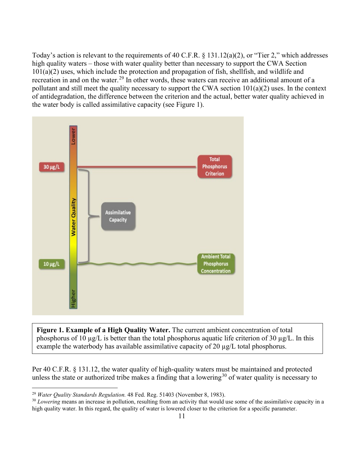Today's action is relevant to the requirements of 40 C.F.R. § 131.12(a)(2), or "Tier 2," which addresses high quality waters – those with water quality better than necessary to support the CWA Section  $101(a)(2)$  uses, which include the protection and propagation of fish, shellfish, and wildlife and recreation in and on the water.<sup>29</sup> In other words, these waters can receive an additional amount of a pollutant and still meet the quality necessary to support the CWA section 101(a)(2) uses. In the context of antidegradation, the difference between the criterion and the actual, better water quality achieved in the water body is called assimilative capacity (see Figure 1).



**Figure 1. Example of a High Quality Water.** The current ambient concentration of total phosphorus of 10  $\mu$ g/L is better than the total phosphorus aquatic life criterion of 30  $\mu$ g/L. In this example the waterbody has available assimilative capacity of 20  $\mu$ g/L total phosphorus.

Per 40 C.F.R. § 131.12, the water quality of high-quality waters must be maintained and protected unless the state or authorized tribe makes a finding that a lowering<sup>30</sup> of water quality is necessary to

<span id="page-14-1"></span>

<span id="page-14-0"></span><sup>&</sup>lt;sup>29</sup> *Water Quality Standards Regulation.* 48 Fed. Reg. 51403 (November 8, 1983).<br><sup>30</sup> *Lowering* means an increase in pollution, resulting from an activity that would use some of the assimilative capacity in a high quality water. In this regard, the quality of water is lowered closer to the criterion for a specific parameter.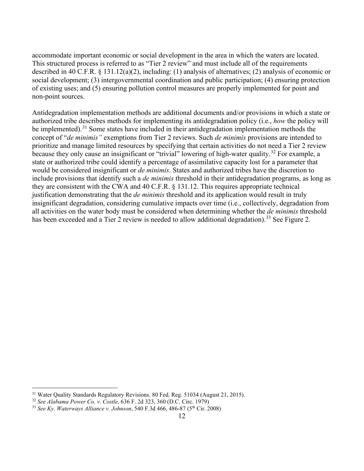accommodate important economic or social development in the area in which the waters are located. This structured process is referred to as "Tier 2 review" and must include all of the requirements described in 40 C.F.R. § 131.12(a)(2), including: (1) analysis of alternatives; (2) analysis of economic or social development; (3) intergovernmental coordination and public participation; (4) ensuring protection of existing uses; and (5) ensuring pollution control measures are properly implemented for point and non-point sources.

Antidegradation implementation methods are additional documents and/or provisions in which a state or authorized tribe describes methods for implementing its antidegradation policy (i.e., *how* the policy will be implemented).<sup>31</sup> Some states have included in their antidegradation implementation methods the concept of "*de minimis"* exemptions from Tier 2 reviews. Such *de minimis* provisions are intended to prioritize and manage limited resources by specifying that certain activities do not need a Tier 2 review because they only cause an insignificant or "trivial" lowering of high-water quality.<sup>[32](#page-15-1)</sup> For example, a state or authorized tribe could identify a percentage of assimilative capacity lost for a parameter that would be considered insignificant or *de minimis*. States and authorized tribes have the discretion to include provisions that identify such a *de minimis* threshold in their antidegradation programs, as long as they are consistent with the CWA and 40 C.F.R. § 131.12. This requires appropriate technical justification demonstrating that the *de minimis* threshold and its application would result in truly insignificant degradation, considering cumulative impacts over time (i.e., collectively, degradation from all activities on the water body must be considered when determining whether the *de minimis* threshold has been exceeded and a Tier 2 review is needed to allow additional degradation).<sup>[33](#page-15-2)</sup> See Figure 2.

<span id="page-15-0"></span><sup>31</sup> Water Quality Standards Regulatory Revisions. 80 Fed. Reg. 51034 (August 21, 2015).

<span id="page-15-1"></span><sup>32</sup> *See Alabama Power Co. v. Costle*, 636 F. 2d 323, 360 (D.C. Circ. 1979)

<span id="page-15-2"></span><sup>&</sup>lt;sup>33</sup> See Ky. Waterways Alliance v. Johnson, 540 F.3d 466, 486-87 (5<sup>th</sup> Cir. 2008)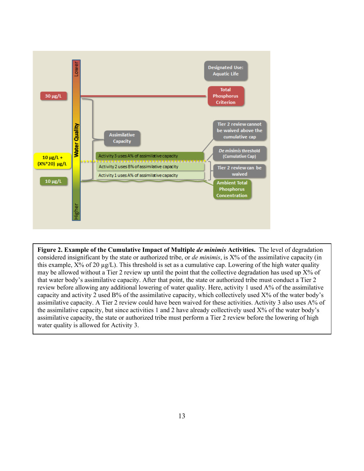

**Figure 2. Example of the Cumulative Impact of Multiple** *de minimis* **Activities.** The level of degradation considered insignificant by the state or authorized tribe, or *de minimis*, is X% of the assimilative capacity (in this example,  $X$ % of 20  $\mu$ g/L). This threshold is set as a cumulative cap. Lowering of the high water quality may be allowed without a Tier 2 review up until the point that the collective degradation has used up  $X%$  of that water body's assimilative capacity. After that point, the state or authorized tribe must conduct a Tier 2 review before allowing any additional lowering of water quality. Here, activity 1 used A% of the assimilative capacity and activity 2 used B% of the assimilative capacity, which collectively used X% of the water body's assimilative capacity. A Tier 2 review could have been waived for these activities. Activity 3 also uses A% of the assimilative capacity, but since activities 1 and 2 have already collectively used X% of the water body's assimilative capacity, the state or authorized tribe must perform a Tier 2 review before the lowering of high water quality is allowed for Activity 3.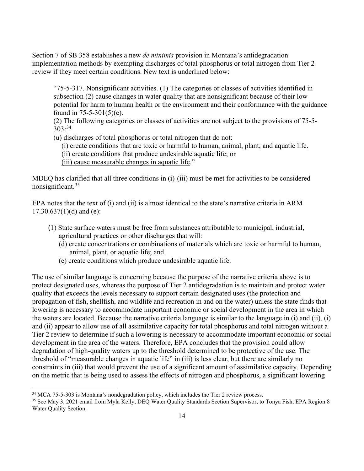Section 7 of SB 358 establishes a new *de minimis* provision in Montana's antidegradation implementation methods by exempting discharges of total phosphorus or total nitrogen from Tier 2 review if they meet certain conditions. New text is underlined below:

"75-5-317. Nonsignificant activities. (1) The categories or classes of activities identified in subsection (2) cause changes in water quality that are nonsignificant because of their low potential for harm to human health or the environment and their conformance with the guidance found in 75-5-301(5)(c).

(2) The following categories or classes of activities are not subject to the provisions of 75-5-  $303:34$  $303:34$ 

(u) discharges of total phosphorus or total nitrogen that do not:

(i) create conditions that are toxic or harmful to human, animal, plant, and aquatic life. (ii) create conditions that produce undesirable aquatic life; or

(iii) cause measurable changes in aquatic life."

MDEQ has clarified that all three conditions in (i)-(iii) must be met for activities to be considered nonsignificant.[35](#page-17-1)

EPA notes that the text of (i) and (ii) is almost identical to the state's narrative criteria in ARM  $17.30.637(1)(d)$  and (e):

- (1) State surface waters must be free from substances attributable to municipal, industrial, agricultural practices or other discharges that will:
	- (d) create concentrations or combinations of materials which are toxic or harmful to human, animal, plant, or aquatic life; and
	- (e) create conditions which produce undesirable aquatic life.

The use of similar language is concerning because the purpose of the narrative criteria above is to protect designated uses, whereas the purpose of Tier 2 antidegradation is to maintain and protect water quality that exceeds the levels necessary to support certain designated uses (the protection and propagation of fish, shellfish, and wildlife and recreation in and on the water) unless the state finds that lowering is necessary to accommodate important economic or social development in the area in which the waters are located. Because the narrative criteria language is similar to the language in (i) and (ii), (i) and (ii) appear to allow use of all assimilative capacity for total phosphorus and total nitrogen without a Tier 2 review to determine if such a lowering is necessary to accommodate important economic or social development in the area of the waters. Therefore, EPA concludes that the provision could allow degradation of high-quality waters up to the threshold determined to be protective of the use. The threshold of "measurable changes in aquatic life" in (iii) is less clear, but there are similarly no constraints in (iii) that would prevent the use of a significant amount of assimilative capacity. Depending on the metric that is being used to assess the effects of nitrogen and phosphorus, a significant lowering

<span id="page-17-0"></span><sup>34</sup> MCA 75-5-303 is Montana's nondegradation policy, which includes the Tier 2 review process.

<span id="page-17-1"></span><sup>&</sup>lt;sup>35</sup> See May 3, 2021 email from Myla Kelly, DEQ Water Quality Standards Section Supervisor, to Tonya Fish, EPA Region 8 Water Quality Section.